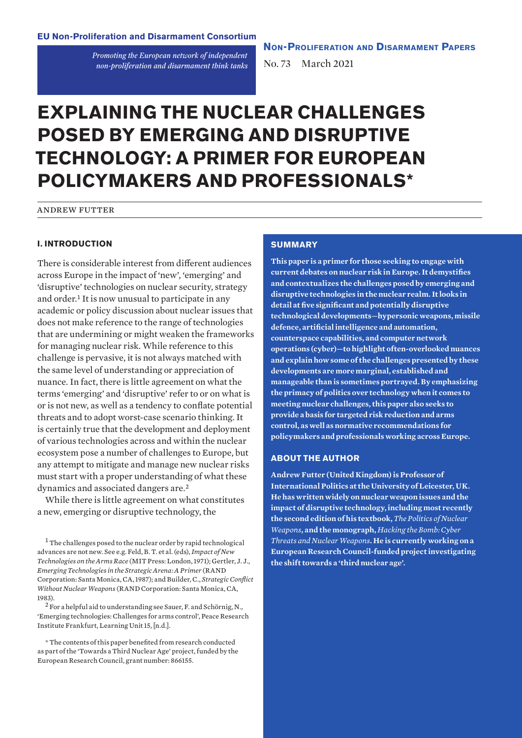*Promoting the European network of independent non-proliferation and disarmament think tanks* **Non-Proliferation and Disarmament Papers**

No. 73 March 2021

# **EXPLAINING THE NUCLEAR CHALLENGES POSED BY EMERGING AND DISRUPTIVE TECHNOLOGY: A PRIMER FOR EUROPEAN POLICYMAKERS AND PROFESSIONALS\***

andrew futter

## **I. INTRODUCTION**

There is considerable interest from different audiences across Europe in the impact of 'new', 'emerging' and 'disruptive' technologies on nuclear security, strategy and order.<sup>1</sup> It is now unusual to participate in any academic or policy discussion about nuclear issues that does not make reference to the range of technologies that are undermining or might weaken the frameworks for managing nuclear risk. While reference to this challenge is pervasive, it is not always matched with the same level of understanding or appreciation of nuance. In fact, there is little agreement on what the terms 'emerging' and 'disruptive' refer to or on what is or is not new, as well as a tendency to conflate potential threats and to adopt worst-case scenario thinking. It is certainly true that the development and deployment of various technologies across and within the nuclear ecosystem pose a number of challenges to Europe, but any attempt to mitigate and manage new nuclear risks must start with a proper understanding of what these dynamics and associated dangers are.<sup>2</sup>

While there is little agreement on what constitutes a new, emerging or disruptive technology, the

 $2$  For a helpful aid to understanding see Sauer, F. and Schörnig, N., '[Emerging technologies: Challenges for arms control](https://nonproliferation-elearning.eu/learningunits/emerging-technologies)', Peace Research Institute Frankfurt, Learning Unit 15, [n.d.].

\* The contents of this paper benefited from research conducted as part of the 'Towards a Third Nuclear Age' project, funded by the European Research Council, grant number: 866155.

# **SUMMARY**

**This paper is a primer for those seeking to engage with current debates on nuclear risk in Europe. It demystifies and contextualizes the challenges posed by emerging and disruptive technologies in the nuclear realm. It looks in detail at five significant and potentially disruptive technological developments—hypersonic weapons, missile defence, artificial intelligence and automation, counterspace capabilities, and computer network operations (cyber)—to highlight often-overlooked nuances and explain how some of the challenges presented by these developments are more marginal, established and manageable than is sometimes portrayed. By emphasizing the primacy of politics over technology when it comes to meeting nuclear challenges, this paper also seeks to provide a basis for targeted risk reduction and arms control, as well as normative recommendations for policymakers and professionals working across Europe.**

## **ABOUT THE AUTHOR**

**Andrew Futter (United Kingdom) is Professor of International Politics at the University of Leicester, UK. He has written widely on nuclear weapon issues and the impact of disruptive technology, including most recently the second edition of his textbook,** *The Politics of Nuclear Weapons***, and the monograph,** *Hacking the Bomb: Cyber Threats and Nuclear Weapons***. He is currently working on a European Research Council-funded project investigating the shift towards a 'third nuclear age'.**

<sup>&</sup>lt;sup>1</sup> The challenges posed to the nuclear order by rapid technological advances are not new. See e.g. Feld, B. T. et al. (eds), *Impact of New Technologies on the Arms Race* (MIT Press: London, 1971); Gertler, J. J., *Emerging Technologies in the Strategic Arena: A Primer* (RAND Corporation: Santa Monica, CA, 1987); and Builder, C., *Strategic Conflict Without Nuclear Weapons* (RAND Corporation: Santa Monica, CA, 1983).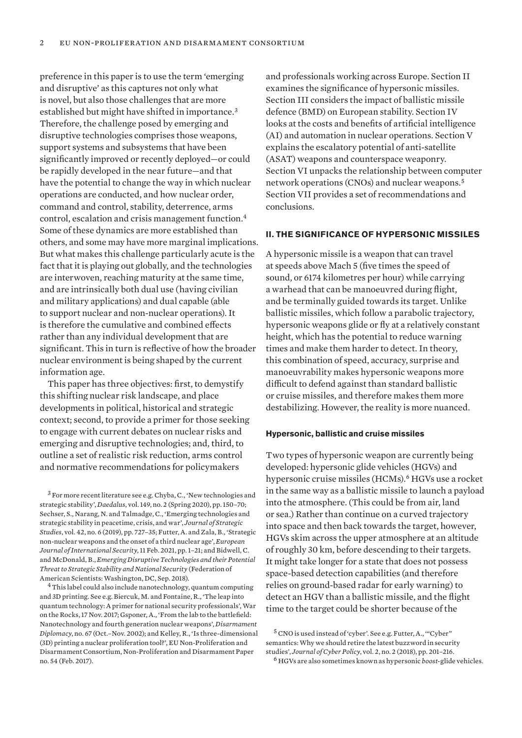preference in this paper is to use the term 'emerging and disruptive' as this captures not only what is novel, but also those challenges that are more established but might have shifted in importance.<sup>3</sup> Therefore, the challenge posed by emerging and disruptive technologies comprises those weapons, support systems and subsystems that have been significantly improved or recently deployed—or could be rapidly developed in the near future—and that have the potential to change the way in which nuclear operations are conducted, and how nuclear order, command and control, stability, deterrence, arms control, escalation and crisis management function.<sup>4</sup> Some of these dynamics are more established than others, and some may have more marginal implications. But what makes this challenge particularly acute is the fact that it is playing out globally, and the technologies are interwoven, reaching maturity at the same time, and are intrinsically both dual use (having civilian and military applications) and dual capable (able to support nuclear and non-nuclear operations). It is therefore the cumulative and combined effects rather than any individual development that are significant. This in turn is reflective of how the broader nuclear environment is being shaped by the current information age.

This paper has three objectives: first, to demystify this shifting nuclear risk landscape, and place developments in political, historical and strategic context; second, to provide a primer for those seeking to engage with current debates on nuclear risks and emerging and disruptive technologies; and, third, to outline a set of realistic risk reduction, arms control and normative recommendations for policymakers

<sup>3</sup> For more recent literature see e.g. Chyba, C., 'New technologies and strategic stability', *Daedalus*, vol. 149, no. 2 (Spring 2020), pp. 150–70; Sechser, S., Narang, N. and Talmadge, C., 'Emerging technologies and strategic stability in peacetime, crisis, and war', *Journal of Strategic Studies*, vol. 42, no. 6 (2019), pp. 727–35; Futter, A. and Zala, B., 'Strategic non-nuclear weapons and the onset of a third nuclear age', *European Journal of International Security*, 11 Feb. 2021, pp. 1–21; and Bidwell, C. and McDonald, B., *Emerging Disruptive Technologies and their Potential Threat to Strategic Stability and National Security* (Federation of American Scientists: Washington, DC, Sep. 2018).

<sup>4</sup> This label could also include nanotechnology, quantum computing and 3D printing. See e.g. Biercuk, M. and Fontaine, R., 'The leap into quantum technology: A primer for national security professionals', War on the Rocks, 17 Nov. 2017; Gsponer, A., 'From the lab to the battlefield: Nanotechnology and fourth generation nuclear weapons', *Disarmament Diplomacy*, no. 67 (Oct.–Nov. 2002); and Kelley, R., '[Is three-dimensional](https://www.sipri.org/sites/default/files/EUNPC_no_54.pdf)  [\(3D\) printing a nuclear proliferation tool?'](https://www.sipri.org/sites/default/files/EUNPC_no_54.pdf), EU Non-Proliferation and Disarmament Consortium, Non-Proliferation and Disarmament Paper no. 54 (Feb. 2017).

and professionals working across Europe. Section II examines the significance of hypersonic missiles. Section III considers the impact of ballistic missile defence (BMD) on European stability. Section IV looks at the costs and benefits of artificial intelligence (AI) and automation in nuclear operations. Section V explains the escalatory potential of anti-satellite (ASAT) weapons and counterspace weaponry. Section VI unpacks the relationship between computer network operations (CNOs) and nuclear weapons.<sup>5</sup> Section VII provides a set of recommendations and conclusions.

## **II. THE SIGNIFICANCE OF HYPERSONIC MISSILES**

A hypersonic missile is a weapon that can travel at speeds above Mach 5 (five times the speed of sound, or 6174 kilometres per hour) while carrying a warhead that can be manoeuvred during flight, and be terminally guided towards its target. Unlike ballistic missiles, which follow a parabolic trajectory, hypersonic weapons glide or fly at a relatively constant height, which has the potential to reduce warning times and make them harder to detect. In theory, this combination of speed, accuracy, surprise and manoeuvrability makes hypersonic weapons more difficult to defend against than standard ballistic or cruise missiles, and therefore makes them more destabilizing. However, the reality is more nuanced.

## **Hypersonic, ballistic and cruise missiles**

Two types of hypersonic weapon are currently being developed: hypersonic glide vehicles (HGVs) and hypersonic cruise missiles (HCMs).<sup>6</sup> HGVs use a rocket in the same way as a ballistic missile to launch a payload into the atmosphere. (This could be from air, land or sea.) Rather than continue on a curved trajectory into space and then back towards the target, however, HGVs skim across the upper atmosphere at an altitude of roughly 30 km, before descending to their targets. It might take longer for a state that does not possess space-based detection capabilities (and therefore relies on ground-based radar for early warning) to detect an HGV than a ballistic missile, and the flight time to the target could be shorter because of the

<sup>5</sup>CNO is used instead of 'cyber'. See e.g. Futter, A., '"Cyber" semantics: Why we should retire the latest buzzword in security studies', *Journal of Cyber Policy*, vol. 2, no. 2 (2018), pp. 201–216.

<sup>6</sup> HGVs are also sometimes known as hypersonic *boost-*glide vehicles.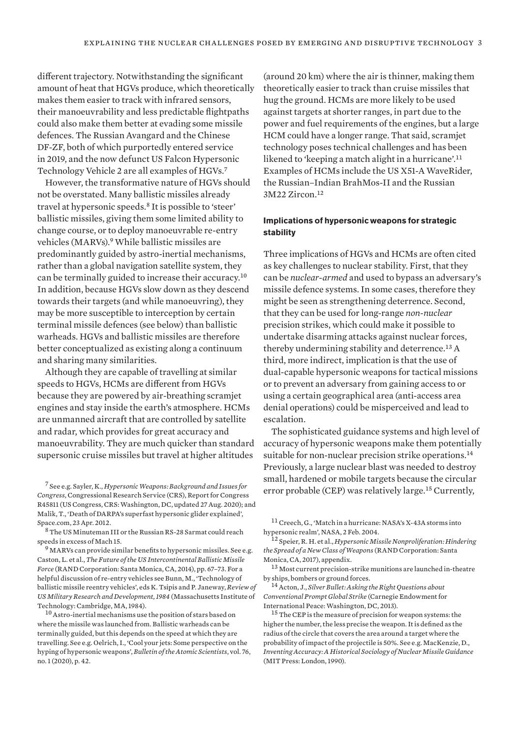different trajectory. Notwithstanding the significant amount of heat that HGVs produce, which theoretically makes them easier to track with infrared sensors, their manoeuvrability and less predictable flightpaths could also make them better at evading some missile defences. The Russian Avangard and the Chinese DF-ZF, both of which purportedly entered service in 2019, and the now defunct US Falcon Hypersonic Technology Vehicle 2 are all examples of HGVs.<sup>7</sup>

However, the transformative nature of HGVs should not be overstated. Many ballistic missiles already travel at hypersonic speeds.<sup>8</sup> It is possible to 'steer' ballistic missiles, giving them some limited ability to change course, or to deploy manoeuvrable re-entry vehicles (MARVs).<sup>9</sup> While ballistic missiles are predominantly guided by astro-inertial mechanisms, rather than a global navigation satellite system, they can be terminally guided to increase their accuracy.<sup>10</sup> In addition, because HGVs slow down as they descend towards their targets (and while manoeuvring), they may be more susceptible to interception by certain terminal missile defences (see below) than ballistic warheads. HGVs and ballistic missiles are therefore better conceptualized as existing along a continuum and sharing many similarities.

Although they are capable of travelling at similar speeds to HGVs, HCMs are different from HGVs because they are powered by air-breathing scramjet engines and stay inside the earth's atmosphere. HCMs are unmanned aircraft that are controlled by satellite and radar, which provides for great accuracy and manoeuvrability. They are much quicker than standard supersonic cruise missiles but travel at higher altitudes

<sup>8</sup>The US Minuteman III or the Russian RS-28 Sarmat could reach speeds in excess of Mach 15.

 $^9$  MARVs can provide similar benefits to hypersonic missiles. See e.g. Caston, L. et al., *The Future of the US Intercontinental Ballistic Missile Force* (RAND Corporation: Santa Monica, CA, 2014), pp. 67–73. For a helpful discussion of re-entry vehicles see Bunn, M., 'Technology of ballistic missile reentry vehicles', eds K. Tsipis and P. Janeway, *Review of US Military Research and Development, 1984* (Massachusetts Institute of Technology: Cambridge, MA, 1984).

<sup>10</sup> Astro-inertial mechanisms use the position of stars based on where the missile was launched from. Ballistic warheads can be terminally guided, but this depends on the speed at which they are travelling. See e.g. Oelrich, I., 'Cool your jets: Some perspective on the hyping of hypersonic weapons', *Bulletin of the Atomic Scientists*, vol. 76, no. 1 (2020), p. 42.

(around 20 km) where the air is thinner, making them theoretically easier to track than cruise missiles that hug the ground. HCMs are more likely to be used against targets at shorter ranges, in part due to the power and fuel requirements of the engines, but a large HCM could have a longer range. That said, scramjet technology poses technical challenges and has been likened to 'keeping a match alight in a hurricane'.<sup>11</sup> Examples of HCMs include the US X51-A WaveRider, the Russian–Indian BrahMos-II and the Russian 3M22 Zircon.<sup>12</sup>

# **Implications of hypersonic weapons for strategic stability**

Three implications of HGVs and HCMs are often cited as key challenges to nuclear stability. First, that they can be *nuclear-armed* and used to bypass an adversary's missile defence systems. In some cases, therefore they might be seen as strengthening deterrence. Second, that they can be used for long-range *non-nuclear* precision strikes, which could make it possible to undertake disarming attacks against nuclear forces, thereby undermining stability and deterrence.<sup>13</sup> A third, more indirect, implication is that the use of dual-capable hypersonic weapons for tactical missions or to prevent an adversary from gaining access to or using a certain geographical area (anti-access area denial operations) could be misperceived and lead to escalation.

The sophisticated guidance systems and high level of accuracy of hypersonic weapons make them potentially suitable for non-nuclear precision strike operations.<sup>14</sup> Previously, a large nuclear blast was needed to destroy small, hardened or mobile targets because the circular error probable (CEP) was relatively large.<sup>15</sup> Currently,

<sup>7</sup> See e.g. Sayler, K., *Hypersonic Weapons: Background and Issues for Congress*, Congressional Research Service (CRS), Report for Congress R45811 (US Congress, CRS: Washington, DC, updated 27 Aug. 2020); and Malik, T., '[Death of DARPA's superfast hypersonic glider explained](https://www.space.com/15388-darpa-hypersonic-glider-demise-explained.html)', Space.com, 23 Apr. 2012.

<sup>11</sup>Creech, G., '[Match in a hurricane: NASA's X-43A storms into](https://www.nasa.gov/missions/research/X-43_overview.html)  [hypersonic realm'](https://www.nasa.gov/missions/research/X-43_overview.html), NASA, 2 Feb. 2004.

<sup>12</sup> Speier, R. H. et al., *Hypersonic Missile Nonproliferation: Hindering the Spread of a New Class of Weapons* (RAND Corporation: Santa Monica, CA, 2017), appendix.

<sup>13</sup> Most current precision-strike munitions are launched in-theatre by ships, bombers or ground forces.

<sup>14</sup>Acton, J., *Silver Bullet: Asking the Right Questions about Conventional Prompt Global Strike* (Carnegie Endowment for International Peace: Washington, DC, 2013).

<sup>&</sup>lt;sup>15</sup>The CEP is the measure of precision for weapon systems: the higher the number, the less precise the weapon. It is defined as the radius of the circle that covers the area around a target where the probability of impact of the projectile is 50%. See e.g. MacKenzie, D., *Inventing Accuracy: A Historical Sociology of Nuclear Missile Guidance*  (MIT Press: London, 1990).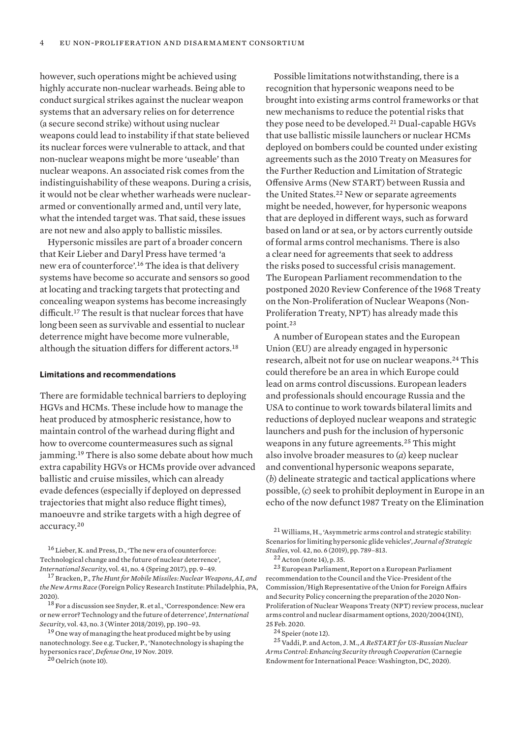however, such operations might be achieved using highly accurate non-nuclear warheads. Being able to conduct surgical strikes against the nuclear weapon systems that an adversary relies on for deterrence (a secure second strike) without using nuclear weapons could lead to instability if that state believed its nuclear forces were vulnerable to attack, and that non-nuclear weapons might be more 'useable' than nuclear weapons. An associated risk comes from the indistinguishability of these weapons. During a crisis, it would not be clear whether warheads were nucleararmed or conventionally armed and, until very late, what the intended target was. That said, these issues are not new and also apply to ballistic missiles.

Hypersonic missiles are part of a broader concern that Keir Lieber and Daryl Press have termed 'a new era of counterforce'.<sup>16</sup> The idea is that delivery systems have become so accurate and sensors so good at locating and tracking targets that protecting and concealing weapon systems has become increasingly difficult.<sup>17</sup> The result is that nuclear forces that have long been seen as survivable and essential to nuclear deterrence might have become more vulnerable, although the situation differs for different actors.<sup>18</sup>

#### **Limitations and recommendations**

There are formidable technical barriers to deploying HGVs and HCMs. These include how to manage the heat produced by atmospheric resistance, how to maintain control of the warhead during flight and how to overcome countermeasures such as signal jamming.<sup>19</sup> There is also some debate about how much extra capability HGVs or HCMs provide over advanced ballistic and cruise missiles, which can already evade defences (especially if deployed on depressed trajectories that might also reduce flight times), manoeuvre and strike targets with a high degree of accuracy.<sup>20</sup>

<sup>16</sup> Lieber, K. and Press, D., 'The new era of counterforce: Technological change and the future of nuclear deterrence', *International Security*, vol. 41, no. 4 (Spring 2017), pp. 9–49.

 $20$  Oelrich (note 10).

Possible limitations notwithstanding, there is a recognition that hypersonic weapons need to be brought into existing arms control frameworks or that new mechanisms to reduce the potential risks that they pose need to be developed.<sup>21</sup> Dual-capable HGVs that use ballistic missile launchers or nuclear HCMs deployed on bombers could be counted under existing agreements such as the 2010 Treaty on Measures for the Further Reduction and Limitation of Strategic Offensive Arms (New START) between Russia and the United States.<sup>22</sup> New or separate agreements might be needed, however, for hypersonic weapons that are deployed in different ways, such as forward based on land or at sea, or by actors currently outside of formal arms control mechanisms. There is also a clear need for agreements that seek to address the risks posed to successful crisis management. The European Parliament recommendation to the postponed 2020 Review Conference of the 1968 Treaty on the Non-Proliferation of Nuclear Weapons (Non-Proliferation Treaty, NPT) has already made this point.<sup>23</sup>

A number of European states and the European Union (EU) are already engaged in hypersonic research, albeit not for use on nuclear weapons.<sup>24</sup> This could therefore be an area in which Europe could lead on arms control discussions. European leaders and professionals should encourage Russia and the USA to continue to work towards bilateral limits and reductions of deployed nuclear weapons and strategic launchers and push for the inclusion of hypersonic weapons in any future agreements.<sup>25</sup> This might also involve broader measures to (*a*) keep nuclear and conventional hypersonic weapons separate, (*b*) delineate strategic and tactical applications where possible, (*c*) seek to prohibit deployment in Europe in an echo of the now defunct 1987 Treaty on the Elimination

22 Acton (note 14), p. 35.

 $^{23}\mskip-5mu\mathrm{Europa}$  Parliament, Report on a European Parliament [recommendation to the Council and the Vice-President of the](https://www.europarl.europa.eu/doceo/document/A-9-2020-0020_EN.html)  [Commission/High Representative of the Union for Foreign Affairs](https://www.europarl.europa.eu/doceo/document/A-9-2020-0020_EN.html)  [and Security Policy concerning the preparation of the 2020 Non-](https://www.europarl.europa.eu/doceo/document/A-9-2020-0020_EN.html)[Proliferation of Nuclear Weapons Treaty \(NPT\) review process, nuclear](https://www.europarl.europa.eu/doceo/document/A-9-2020-0020_EN.html)  [arms control and nuclear disarmament options,](https://www.europarl.europa.eu/doceo/document/A-9-2020-0020_EN.html) [2020/2004\(INI\),](https://oeil.secure.europarl.europa.eu/oeil/popups/ficheprocedure.do?lang=en&reference=2020/2004(INI)) 25 Feb. 2020.

<sup>24</sup> Speier (note 12).

<sup>25</sup>Vaddi, P. and Acton, J. M., *A ReSTART for US-Russian Nuclear Arms Control: Enhancing Security through Cooperation* (Carnegie Endowment for International Peace: Washington, DC, 2020)[.](https://carnegieendowment.org/files/Acton_Vaddi_ReStart.pdf)

<sup>17</sup> Bracken, P., *The Hunt for Mobile Missiles: Nuclear Weapons, AI, and the New Arms Race* (Foreign Policy Research Institute: Philadelphia, PA, 2020).

<sup>18</sup> For a discussion see Snyder, R. et al., 'Correspondence: New era or new error? Technology and the future of deterrence', *International Security*, vol. 43, no. 3 (Winter 2018/2019), pp. 190–93.

<sup>19</sup> One way of managing the heat produced might be by using nanotechnology. See e.g. Tucker, P., ['Nanotechnology is shaping the](https://www.defenseone.com/technology/2019/11/nanotechnology-shaping-hypersonics-race/161377/)  [hypersonics race](https://www.defenseone.com/technology/2019/11/nanotechnology-shaping-hypersonics-race/161377/)', *Defense One*, 19 Nov. 2019.

<sup>21</sup>Williams, H., 'Asymmetric arms control and strategic stability: Scenarios for limiting hypersonic glide vehicles', *Journal of Strategic Studies*, vol. 42, no. 6 (2019), pp. 789–813.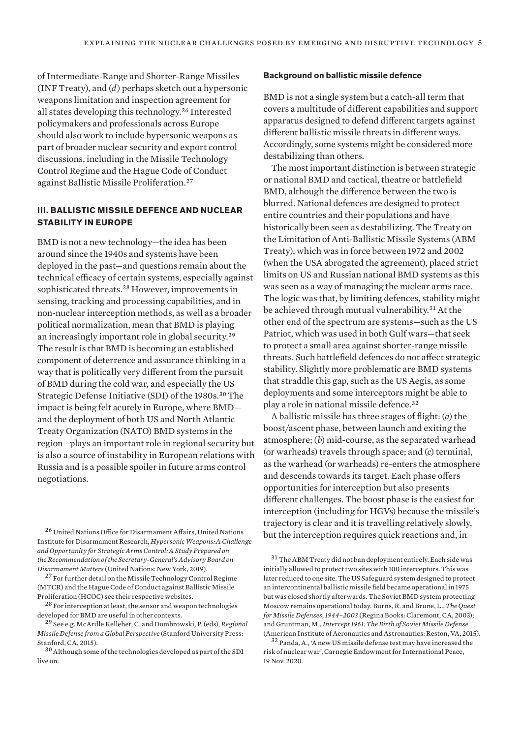of Intermediate-Range and Shorter-Range Missiles (INF Treaty), and (*d*) perhaps sketch out a hypersonic weapons limitation and inspection agreement for all states developing this technology.<sup>26</sup> Interested policymakers and professionals across Europe should also work to include hypersonic weapons as part of broader nuclear security and export control discussions, including in the Missile Technology Control Regime and the Hague Code of Conduct against Ballistic Missile Proliferation.<sup>27</sup>

# **III. BALLISTIC MISSILE DEFENCE AND NUCLEAR STABILITY IN EUROPE**

BMD is not a new technology—the idea has been around since the 1940s and systems have been deployed in the past—and questions remain about the technical efficacy of certain systems, especially against sophisticated threats.<sup>28</sup> However, improvements in sensing, tracking and processing capabilities, and in non-nuclear interception methods, as well as a broader political normalization, mean that BMD is playing an increasingly important role in global security.<sup>29</sup> The result is that BMD is becoming an established component of deterrence and assurance thinking in a way that is politically very different from the pursuit of BMD during the cold war, and especially the US Strategic Defense Initiative (SDI) of the 1980s.<sup>30</sup> The impact is being felt acutely in Europe, where BMD and the deployment of both US and North Atlantic Treaty Organization (NATO) BMD systems in the region—plays an important role in regional security but is also a source of instability in European relations with Russia and is a possible spoiler in future arms control negotiations.

<sup>26</sup> United Nations Office for Disarmament Affairs, United Nations Institute for Disarmament Research, *[Hypersonic Weapons: A Challenge](https://www.un.org/disarmament/wp-content/uploads/2019/02/hypersonic-weapons-study.pdf)  [and Opportunity for Strategic Arms Control:A Study Prepared on](https://www.un.org/disarmament/wp-content/uploads/2019/02/hypersonic-weapons-study.pdf)  [the Recommendation of the Secretary-General's Advisory Board on](https://www.un.org/disarmament/wp-content/uploads/2019/02/hypersonic-weapons-study.pdf)  [Disarmament Matters](https://www.un.org/disarmament/wp-content/uploads/2019/02/hypersonic-weapons-study.pdf)*(United Nations: New York, 2019)[.](https://www.un.org/disarmament/wp-content/uploads/2019/02/hypersonic-weapons-study.pdf)

<sup>27</sup> For further detail on the [Missile Technology Control Regime](https://mtcr.info) (MTCR) and the [Hague Code of Conduct against Ballistic Missile](https://www.hcoc.at)  [Proliferation](https://www.hcoc.at) (HCOC) see their respective websites.

<sup>28</sup> For interception at least, the sensor and weapon technologies developed for BMD are useful in other contexts.

<sup>29</sup> See e.g. McArdle Kelleher, C. and Dombrowski, P. (eds), *Regional Missile Defense from a Global Perspective* (Stanford University Press: Stanford, CA, 2015).

<sup>30</sup>Although some of the technologies developed as part of the SDI live on.

#### **Background on ballistic missile defence**

BMD is not a single system but a catch-all term that covers a multitude of different capabilities and support apparatus designed to defend different targets against different ballistic missile threats in different ways. Accordingly, some systems might be considered more destabilizing than others.

The most important distinction is between strategic or national BMD and tactical, theatre or battlefield BMD, although the difference between the two is blurred. National defences are designed to protect entire countries and their populations and have historically been seen as destabilizing. The Treaty on the Limitation of Anti-Ballistic Missile Systems (ABM Treaty), which was in force between 1972 and 2002 (when the USA abrogated the agreement), placed strict limits on US and Russian national BMD systems as this was seen as a way of managing the nuclear arms race. The logic was that, by limiting defences, stability might be achieved through mutual vulnerability.<sup>31</sup> At the other end of the spectrum are systems—such as the US Patriot, which was used in both Gulf wars—that seek to protect a small area against shorter-range missile threats. Such battlefield defences do not affect strategic stability. Slightly more problematic are BMD systems that straddle this gap, such as the US Aegis, as some deployments and some interceptors might be able to play a role in national missile defence.<sup>32</sup>

A ballistic missile has three stages of flight: (*a*) the boost/ascent phase, between launch and exiting the atmosphere; (*b*) mid-course, as the separated warhead (or warheads) travels through space; and (*c*) terminal, as the warhead (or warheads) re-enters the atmosphere and descends towards its target. Each phase offers opportunities for interception but also presents different challenges. The boost phase is the easiest for interception (including for HGVs) because the missile's trajectory is clear and it is travelling relatively slowly, but the interception requires quick reactions and, in

<sup>32</sup> Panda, A., ['A new US missile defense test may have increased the](https://carnegieendowment.org/2020/11/19/new-u.s.-missile-defense-test-may-have-increased-risk-of-nuclear-war-pub-83273)  [risk of nuclear war](https://carnegieendowment.org/2020/11/19/new-u.s.-missile-defense-test-may-have-increased-risk-of-nuclear-war-pub-83273)', Carnegie Endowment for International Peace, 19 Nov. 2020.

 $^{31}$  The ABM Treaty did not ban deployment entirely. Each side was initially allowed to protect two sites with 100 interceptors. This was later reduced to one site. The US Safeguard system designed to protect an intercontinental ballistic missile field became operational in 1975 but was closed shortly afterwards. The Soviet BMD system protecting Moscow remains operational today. Burns, R. and Brune, L., *The Quest for Missile Defenses, 1944–2003* (Regina Books: Claremont, CA, 2003); and Gruntman, M., *Intercept 1961: The Birth of Soviet Missile Defense*  (American Institute of Aeronautics and Astronautics: Reston, VA, 2015).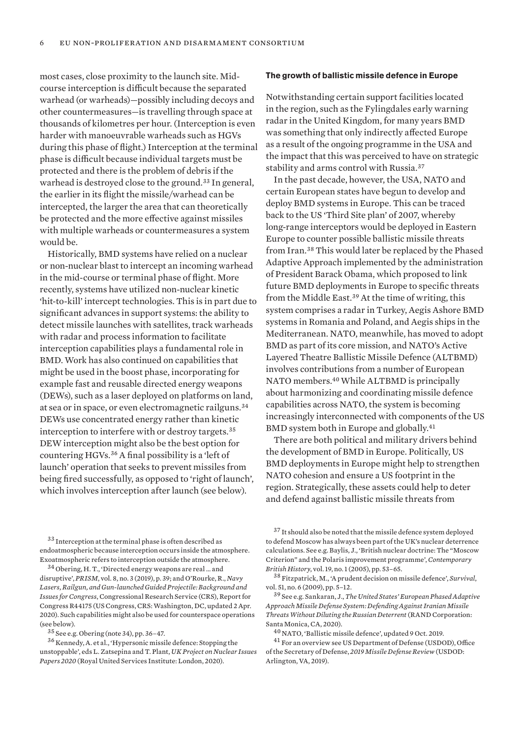most cases, close proximity to the launch site. Midcourse interception is difficult because the separated warhead (or warheads)—possibly including decoys and other countermeasures—is travelling through space at thousands of kilometres per hour. (Interception is even harder with manoeuvrable warheads such as HGVs during this phase of flight.) Interception at the terminal phase is difficult because individual targets must be protected and there is the problem of debris if the warhead is destroyed close to the ground.<sup>33</sup> In general, the earlier in its flight the missile/warhead can be intercepted, the larger the area that can theoretically be protected and the more effective against missiles with multiple warheads or countermeasures a system would be.

Historically, BMD systems have relied on a nuclear or non-nuclear blast to intercept an incoming warhead in the mid-course or terminal phase of flight. More recently, systems have utilized non-nuclear kinetic 'hit-to-kill' intercept technologies. This is in part due to significant advances in support systems: the ability to detect missile launches with satellites, track warheads with radar and process information to facilitate interception capabilities plays a fundamental role in BMD. Work has also continued on capabilities that might be used in the boost phase, incorporating for example fast and reusable directed energy weapons (DEWs), such as a laser deployed on platforms on land, at sea or in space, or even electromagnetic railguns.<sup>34</sup> DEWs use concentrated energy rather than kinetic interception to interfere with or destroy targets.<sup>35</sup> DEW interception might also be the best option for countering HGVs.<sup>36</sup> A final possibility is a 'left of launch' operation that seeks to prevent missiles from being fired successfully, as opposed to 'right of launch', which involves interception after launch (see below).

#### **The growth of ballistic missile defence in Europe**

Notwithstanding certain support facilities located in the region, such as the Fylingdales early warning radar in the United Kingdom, for many years BMD was something that only indirectly affected Europe as a result of the ongoing programme in the USA and the impact that this was perceived to have on strategic stability and arms control with Russia.<sup>37</sup>

In the past decade, however, the USA, NATO and certain European states have begun to develop and deploy BMD systems in Europe. This can be traced back to the US 'Third Site plan' of 2007, whereby long-range interceptors would be deployed in Eastern Europe to counter possible ballistic missile threats from Iran.<sup>38</sup> This would later be replaced by the Phased Adaptive Approach implemented by the administration of President Barack Obama, which proposed to link future BMD deployments in Europe to specific threats from the Middle East.<sup>39</sup> At the time of writing, this system comprises a radar in Turkey, Aegis Ashore BMD systems in Romania and Poland, and Aegis ships in the Mediterranean. NATO, meanwhile, has moved to adopt BMD as part of its core mission, and NATO's Active Layered Theatre Ballistic Missile Defence (ALTBMD) involves contributions from a number of European NATO members.<sup>40</sup> While ALTBMD is principally about harmonizing and coordinating missile defence capabilities across NATO, the system is becoming increasingly interconnected with components of the US BMD system both in Europe and globally.<sup>41</sup>

There are both political and military drivers behind the development of BMD in Europe. Politically, US BMD deployments in Europe might help to strengthen NATO cohesion and ensure a US footprint in the region. Strategically, these assets could help to deter and defend against ballistic missile threats from

<sup>33</sup> Interception at the terminal phase is often described as endoatmospheric because interception occurs inside the atmosphere. Exoatmospheric refers to interception outside the atmosphere.

<sup>34</sup> Obering, H. T., 'Directed energy weapons are real … and disruptive', *PRISM*, vol. 8, no. 3 (2019), p. 39; and O'Rourke, R., *Navy Lasers, Railgun, and Gun-launched Guided Projectile: Background and Issues for Congress*, Congressional Research Service (CRS), Report for Congress R44175 (US Congress, CRS: Washington, DC, updated 2 Apr. 2020). Such capabilities might also be used for counterspace operations (see below).

<sup>36</sup> Kennedy, A. et al., 'Hypersonic missile defence: Stopping the unstoppable', eds L. Zatsepina and T. Plant, *UK Project on Nuclear Issues Papers 2020* (Royal United Services Institute: London, 2020).

<sup>39</sup> See e.g. Sankaran, J., *The United States' European Phased Adaptive Approach Missile Defense System: Defending Against Iranian Missile Threats Without Diluting the Russian Deterrent* (RAND Corporation: Santa Monica, CA, 2020).

<sup>35</sup> See e.g. Obering (note 34), pp. 36–47.

<sup>37</sup> It should also be noted that the missile defence system deployed to defend Moscow has always been part of the UK's nuclear deterrence calculations. See e.g. Baylis, J., 'British nuclear doctrine: The "Moscow Criterion" and the Polaris improvement programme', *Contemporary British History*, vol. 19, no. 1 (2005), pp. 53–65.

<sup>38</sup> Fitzpatrick, M., 'A prudent decision on missile defence', *Survival*, vol. 51, no. 6 (2009), pp. 5–12.

<sup>40</sup> NATO, '[Ballistic missile defence](https://www.nato.int/cps/en/natohq/topics_49635.htm)', updated 9 Oct. 2019.

<sup>41</sup> For an overview see US Department of Defense (USDOD), Office of the Secretary of Defense, *[2019 Missile Defense Review](https://www.defense.gov/Portals/1/Interactive/2018/11-2019-Missile-Defense-Review/The%202019%20MDR_Executive%20Summary.pdf)* (USDOD: Arlington, VA, 2019[\).](file:///Users/maletta/Desktop/%3chttps:/www.defense.gov/Portals/1/Interactive/2018/11-2019-Missile-Defense-Review/The%202019%20MDR_Executive%20Summary.pdf%3e.)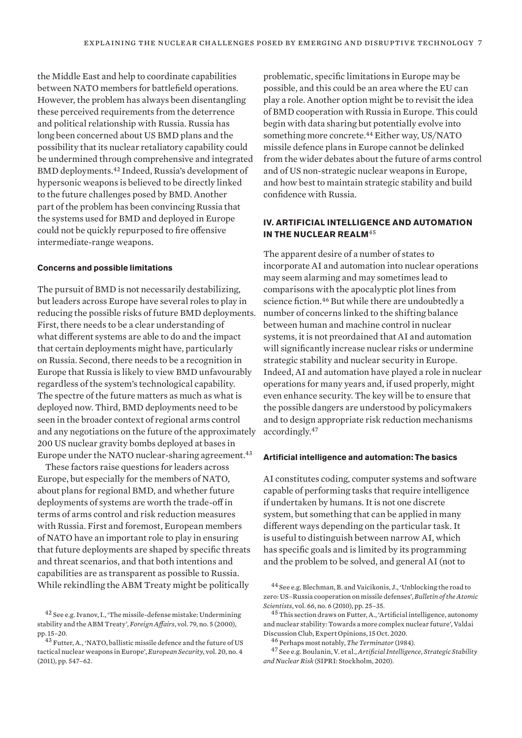the Middle East and help to coordinate capabilities between NATO members for battlefield operations. However, the problem has always been disentangling these perceived requirements from the deterrence and political relationship with Russia. Russia has long been concerned about US BMD plans and the possibility that its nuclear retaliatory capability could be undermined through comprehensive and integrated BMD deployments.<sup>42</sup> Indeed, Russia's development of hypersonic weapons is believed to be directly linked to the future challenges posed by BMD. Another part of the problem has been convincing Russia that the systems used for BMD and deployed in Europe could not be quickly repurposed to fire offensive intermediate-range weapons.

## **Concerns and possible limitations**

The pursuit of BMD is not necessarily destabilizing, but leaders across Europe have several roles to play in reducing the possible risks of future BMD deployments. First, there needs to be a clear understanding of what different systems are able to do and the impact that certain deployments might have, particularly on Russia. Second, there needs to be a recognition in Europe that Russia is likely to view BMD unfavourably regardless of the system's technological capability. The spectre of the future matters as much as what is deployed now. Third, BMD deployments need to be seen in the broader context of regional arms control and any negotiations on the future of the approximately 200 US nuclear gravity bombs deployed at bases in Europe under the NATO nuclear-sharing agreement.<sup>43</sup>

These factors raise questions for leaders across Europe, but especially for the members of NATO, about plans for regional BMD, and whether future deployments of systems are worth the trade-off in terms of arms control and risk reduction measures with Russia. First and foremost, European members of NATO have an important role to play in ensuring that future deployments are shaped by specific threats and threat scenarios, and that both intentions and capabilities are as transparent as possible to Russia. While rekindling the ABM Treaty might be politically

problematic, specific limitations in Europe may be possible, and this could be an area where the EU can play a role. Another option might be to revisit the idea of BMD cooperation with Russia in Europe. This could begin with data sharing but potentially evolve into something more concrete.<sup>44</sup> Either way, US/NATO missile defence plans in Europe cannot be delinked from the wider debates about the future of arms control and of US non-strategic nuclear weapons in Europe, and how best to maintain strategic stability and build confidence with Russia.

# **IV. ARTIFICIAL INTELLIGENCE AND AUTOMATION IN THE NUCLEAR REALM**<sup>45</sup>

The apparent desire of a number of states to incorporate AI and automation into nuclear operations may seem alarming and may sometimes lead to comparisons with the apocalyptic plot lines from science fiction.<sup>46</sup> But while there are undoubtedly a number of concerns linked to the shifting balance between human and machine control in nuclear systems, it is not preordained that AI and automation will significantly increase nuclear risks or undermine strategic stability and nuclear security in Europe. Indeed, AI and automation have played a role in nuclear operations for many years and, if used properly, might even enhance security. The key will be to ensure that the possible dangers are understood by policymakers and to design appropriate risk reduction mechanisms accordingly.<sup>47</sup>

## **Artificial intelligence and automation: The basics**

AI constitutes coding, computer systems and software capable of performing tasks that require intelligence if undertaken by humans. It is not one discrete system, but something that can be applied in many different ways depending on the particular task. It is useful to distinguish between narrow AI, which has specific goals and is limited by its programming and the problem to be solved, and general AI (not to

<sup>42</sup> See e.g. Ivanov, I., 'The missile-defense mistake: Undermining stability and the ABM Treaty', *Foreign Affairs*, vol. 79, no. 5 (2000), pp. 15–20.

<sup>43</sup> Futter, A., ['NATO, ballistic missile defence and the future of US](http://dx.doi.org/10.1080/09662839.2011.626404)  [tactical nuclear weapons in Europe',](http://dx.doi.org/10.1080/09662839.2011.626404) *European Security*, vol. 20, no. 4 (2011), pp. 547–62.

<sup>&</sup>lt;sup>44</sup> See e.g. Blechman, B. and Vaicikonis, J., 'Unblocking the road to zero: US–Russia cooperation on missile defenses', *Bulletin of the Atomic Scientists*, vol. 66, no. 6 (2010), pp. 25–35.

<sup>&</sup>lt;sup>45</sup> This section draws on Futter, A., 'Artificial intelligence, autonomy and nuclear stability: Towards a more complex nuclear future', Valdai Discussion Club, Expert Opinions, 15 Oct. 2020.

<sup>46</sup> Perhaps most notably, *The Terminator* (1984).

<sup>47</sup> See e.g. Boulanin, V. et al., *[Artificial Intelligence, Strategic Stability](https://www.sipri.org/sites/default/files/2020-06/artificial_intelligence_strategic_stability_and_nuclear_risk.pdf)  [and Nuclear Risk](https://www.sipri.org/sites/default/files/2020-06/artificial_intelligence_strategic_stability_and_nuclear_risk.pdf)* (SIPRI: Stockholm, 2020).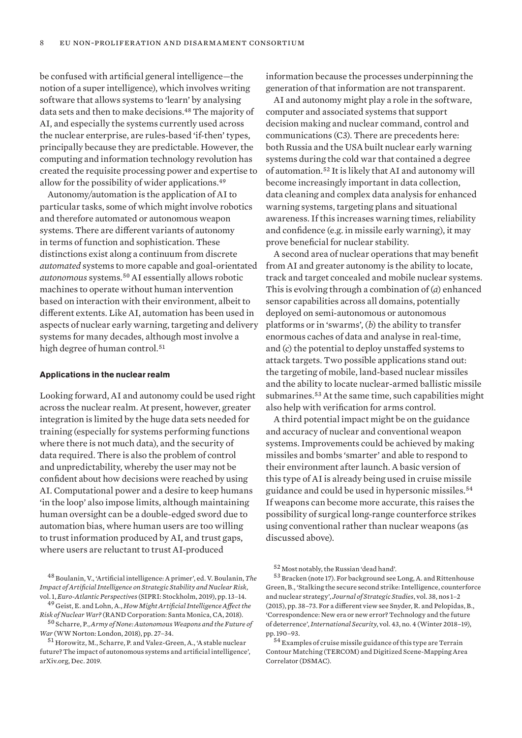be confused with artificial general intelligence—the notion of a super intelligence), which involves writing software that allows systems to 'learn' by analysing data sets and then to make decisions.<sup>48</sup> The majority of AI, and especially the systems currently used across the nuclear enterprise, are rules-based 'if-then' types, principally because they are predictable. However, the computing and information technology revolution has created the requisite processing power and expertise to allow for the possibility of wider applications.<sup>49</sup>

Autonomy/automation is the application of AI to particular tasks, some of which might involve robotics and therefore automated or autonomous weapon systems. There are different variants of autonomy in terms of function and sophistication. These distinctions exist along a continuum from discrete *automated* systems to more capable and goal-orientated *autonomous* systems.<sup>50</sup> AI essentially allows robotic machines to operate without human intervention based on interaction with their environment, albeit to different extents. Like AI, automation has been used in aspects of nuclear early warning, targeting and delivery systems for many decades, although most involve a high degree of human control.<sup>51</sup>

#### **Applications in the nuclear realm**

Looking forward, AI and autonomy could be used right across the nuclear realm. At present, however, greater integration is limited by the huge data sets needed for training (especially for systems performing functions where there is not much data), and the security of data required. There is also the problem of control and unpredictability, whereby the user may not be confident about how decisions were reached by using AI. Computational power and a desire to keep humans 'in the loop' also impose limits, although maintaining human oversight can be a double-edged sword due to automation bias, where human users are too willing to trust information produced by AI, and trust gaps, where users are reluctant to trust AI-produced

<sup>48</sup> Boulanin, V., 'Artificial intelligence: A primer', ed. V. Boulanin, *The Impact of Artificial Intelligence on Strategic Stability and Nuclear Risk*, vol. 1, *Euro-Atlantic Perspectives* (SIPRI: Stockholm, 2019), pp. 13–14.

<sup>49</sup> Geist, E. and Lohn, A., *How Might Artificial Intelligence Affect the Risk of Nuclear War?* (RAND Corporation: Santa Monica, CA, 2018).

<sup>50</sup> Scharre, P., *Army of None: Autonomous Weapons and the Future of War* (WW Norton: London, 2018), pp. 27–34.

<sup>51</sup> Horowitz, M., Scharre, P. and Valez-Green, A., ['A stable nuclear](https://arxiv.org/pdf/1912.05291.pdf)  [future? The impact of autonomous systems and artificial intelligence](https://arxiv.org/pdf/1912.05291.pdf)', arXiv.org, Dec. 201[9.](https://arxiv.org/pdf/1912.05291.pdf)

information because the processes underpinning the generation of that information are not transparent.

AI and autonomy might play a role in the software, computer and associated systems that support decision making and nuclear command, control and communications (C3). There are precedents here: both Russia and the USA built nuclear early warning systems during the cold war that contained a degree of automation.<sup>52</sup> It is likely that AI and autonomy will become increasingly important in data collection, data cleaning and complex data analysis for enhanced warning systems, targeting plans and situational awareness. If this increases warning times, reliability and confidence (e.g. in missile early warning), it may prove beneficial for nuclear stability.

A second area of nuclear operations that may benefit from AI and greater autonomy is the ability to locate, track and target concealed and mobile nuclear systems. This is evolving through a combination of (*a*) enhanced sensor capabilities across all domains, potentially deployed on semi-autonomous or autonomous platforms or in 'swarms', (*b*) the ability to transfer enormous caches of data and analyse in real-time, and (*c*) the potential to deploy unstaffed systems to attack targets. Two possible applications stand out: the targeting of mobile, land-based nuclear missiles and the ability to locate nuclear-armed ballistic missile submarines.<sup>53</sup> At the same time, such capabilities might also help with verification for arms control.

A third potential impact might be on the guidance and accuracy of nuclear and conventional weapon systems. Improvements could be achieved by making missiles and bombs 'smarter' and able to respond to their environment after launch. A basic version of this type of AI is already being used in cruise missile guidance and could be used in hypersonic missiles.<sup>54</sup> If weapons can become more accurate, this raises the possibility of surgical long-range counterforce strikes using conventional rather than nuclear weapons (as discussed above).

<sup>52</sup> Most notably, the Russian 'dead hand'.

<sup>53</sup> Bracken (note 17). For background see Long, A. and Rittenhouse Green, B., 'Stalking the secure second strike: Intelligence, counterforce and nuclear strategy', *Journal of Strategic Studies*, vol. 38, nos 1–2 (2015), pp. 38–73. For a different view see Snyder, R. and Pelopidas, B., 'Correspondence: New era or new error? Technology and the future of deterrence', *International Security*, vol. 43, no. 4 (Winter 2018–19), pp. 190–93.

<sup>54</sup> Examples of cruise missile guidance of this type are Terrain Contour Matching (TERCOM) and Digitized Scene-Mapping Area Correlator (DSMAC).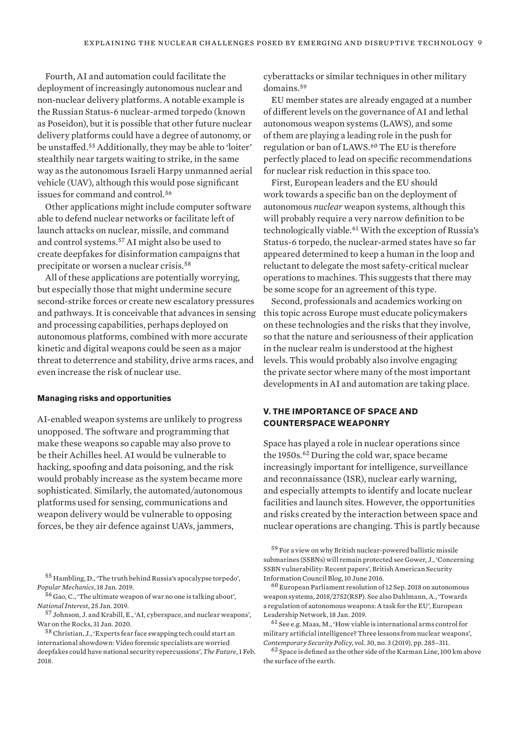Fourth, AI and automation could facilitate the deployment of increasingly autonomous nuclear and non-nuclear delivery platforms. A notable example is the Russian Status-6 nuclear-armed torpedo (known as Poseidon), but it is possible that other future nuclear delivery platforms could have a degree of autonomy, or be unstaffed.<sup>55</sup> Additionally, they may be able to 'loiter' stealthily near targets waiting to strike, in the same way as the autonomous Israeli Harpy unmanned aerial vehicle (UAV), although this would pose significant issues for command and control.<sup>56</sup>

Other applications might include computer software able to defend nuclear networks or facilitate left of launch attacks on nuclear, missile, and command and control systems.<sup>57</sup> AI might also be used to create deepfakes for disinformation campaigns that precipitate or worsen a nuclear crisis.<sup>58</sup>

All of these applications are potentially worrying, but especially those that might undermine secure second-strike forces or create new escalatory pressures and pathways. It is conceivable that advances in sensing and processing capabilities, perhaps deployed on autonomous platforms, combined with more accurate kinetic and digital weapons could be seen as a major threat to deterrence and stability, drive arms races, and even increase the risk of nuclear use.

#### **Managing risks and opportunities**

AI-enabled weapon systems are unlikely to progress unopposed. The software and programming that make these weapons so capable may also prove to be their Achilles heel. AI would be vulnerable to hacking, spoofing and data poisoning, and the risk would probably increase as the system became more sophisticated. Similarly, the automated/autonomous platforms used for sensing, communications and weapon delivery would be vulnerable to opposing forces, be they air defence against UAVs, jammers,

<sup>55</sup> Hambling, D., '[The truth behind Russia's apocalypse torpedo'](https://www.popularmechanics.com/military/weapons/a25953089/russia-apocalypse-torpedo-poseidon/), *Popular Mechanics*, 18 Jan. 2019.

<sup>56</sup> Gao, C., ['The ultimate weapon of war no one is talking about](https://nationalinterest.org/blog/buzz/ultimate-weapon-war-no-one-talking-about-42497)', *National Interest*, 25 Jan. 2019.

<sup>57</sup> Johnson, J. and Krabill, E., 'AI, cyberspace, and nuclear weapons', War on the Rocks, 31 Jan. 2020.

 $^{58}\!$  Christian, J., 'Experts fear face swapping tech could start an [international showdown: Video forensic specialists are worried](https://theoutline.com/post/3179/deepfake-videos-are-freaking-experts-out?zd=3&zi=54fxjizh)  [deepfakes could have national security repercussions](https://theoutline.com/post/3179/deepfake-videos-are-freaking-experts-out?zd=3&zi=54fxjizh)', *The Future*, 1 Feb. 2018.

cyberattacks or similar techniques in other military domains.<sup>59</sup>

EU member states are already engaged at a number of different levels on the governance of AI and lethal autonomous weapon systems (LAWS), and some of them are playing a leading role in the push for regulation or ban of LAWS.<sup>60</sup> The EU is therefore perfectly placed to lead on specific recommendations for nuclear risk reduction in this space too.

First, European leaders and the EU should work towards a specific ban on the deployment of autonomous *nuclear* weapon systems, although this will probably require a very narrow definition to be technologically viable.<sup>61</sup> With the exception of Russia's Status-6 torpedo, the nuclear-armed states have so far appeared determined to keep a human in the loop and reluctant to delegate the most safety-critical nuclear operations to machines. This suggests that there may be some scope for an agreement of this type.

Second, professionals and academics working on this topic across Europe must educate policymakers on these technologies and the risks that they involve, so that the nature and seriousness of their application in the nuclear realm is understood at the highest levels. This would probably also involve engaging the private sector where many of the most important developments in AI and automation are taking place.

# **V. THE IMPORTANCE OF SPACE AND COUNTERSPACE WEAPONRY**

Space has played a role in nuclear operations since the 1950s.<sup>62</sup> During the cold war, space became increasingly important for intelligence, surveillance and reconnaissance (ISR), nuclear early warning, and especially attempts to identify and locate nuclear facilities and launch sites. However, the opportunities and risks created by the interaction between space and nuclear operations are changing. This is partly because

<sup>59</sup> For a view on why British nuclear-powered ballistic missile submarines (SSBNs) will remain protected see Gower, J., ['Concerning](https://basicint.org/blogs/rear-admiral-john-gower-cb-obe/06/2016/concerning-ssbn-vulnerability-%C2%AD-recent-papers)  [SSBN vulnerability: Recent papers](https://basicint.org/blogs/rear-admiral-john-gower-cb-obe/06/2016/concerning-ssbn-vulnerability-%C2%AD-recent-papers)', British American Security Information Council Blog, 10 June 2016.

<sup>60</sup> [European Parliament resolution of 12 Sep. 2018 on autonomous](http://www.europarl.europa.eu/sides/getDoc.do?pubRef=-//EP//TEXT+TA+P8-TA-2018-0341+0+DOC+XML+V0//EN&language=EN)  [weapon systems](http://www.europarl.europa.eu/sides/getDoc.do?pubRef=-//EP//TEXT+TA+P8-TA-2018-0341+0+DOC+XML+V0//EN&language=EN), 2018/2752(RSP). See also Dahlmann, A., '[Towards](https://www.europeanleadershipnetwork.org/commentary/towards-a-regulation-of-autonomous-weapons-a-task-for-the-eu/)  [a regulation of autonomous weapons: A task for the EU](https://www.europeanleadershipnetwork.org/commentary/towards-a-regulation-of-autonomous-weapons-a-task-for-the-eu/)', European Leadership Network, 18 Jan. 2019.

 $61$  See e.g. Maas, M., 'How viable is international arms control for military artificial intelligence? Three lessons from nuclear weapons', *Contemporary Security Policy*, vol. 30, no. 3 (2019), pp. 285–311.

<sup>62</sup> Space is defined as the other side of the Karman Line, 100 km above the surface of the earth.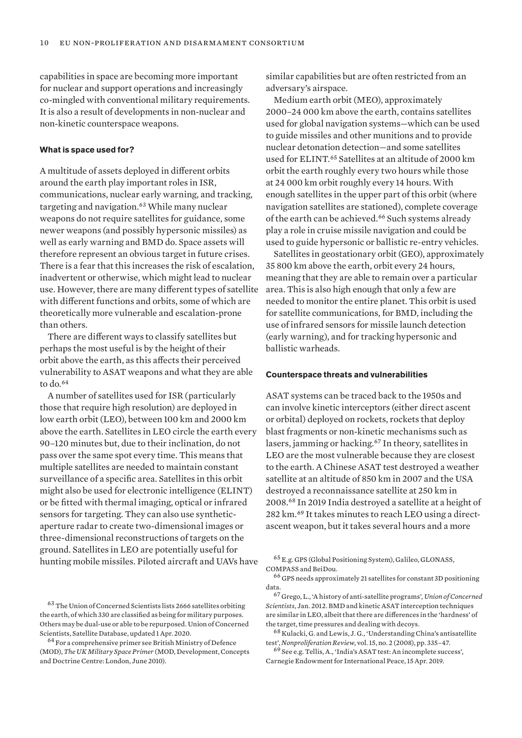capabilities in space are becoming more important for nuclear and support operations and increasingly co-mingled with conventional military requirements. It is also a result of developments in non-nuclear and non-kinetic counterspace weapons.

## **What is space used for?**

A multitude of assets deployed in different orbits around the earth play important roles in ISR, communications, nuclear early warning, and tracking, targeting and navigation.<sup>63</sup> While many nuclear weapons do not require satellites for guidance, some newer weapons (and possibly hypersonic missiles) as well as early warning and BMD do. Space assets will therefore represent an obvious target in future crises. There is a fear that this increases the risk of escalation, inadvertent or otherwise, which might lead to nuclear use. However, there are many different types of satellite with different functions and orbits, some of which are theoretically more vulnerable and escalation-prone than others.

There are different ways to classify satellites but perhaps the most useful is by the height of their orbit above the earth, as this affects their perceived vulnerability to ASAT weapons and what they are able to do.<sup>64</sup>

A number of satellites used for ISR (particularly those that require high resolution) are deployed in low earth orbit (LEO), between 100 km and 2000 km above the earth. Satellites in LEO circle the earth every 90–120 minutes but, due to their inclination, do not pass over the same spot every time. This means that multiple satellites are needed to maintain constant surveillance of a specific area. Satellites in this orbit might also be used for electronic intelligence (ELINT) or be fitted with thermal imaging, optical or infrared sensors for targeting. They can also use syntheticaperture radar to create two-dimensional images or three-dimensional reconstructions of targets on the ground. Satellites in LEO are potentially useful for hunting mobile missiles. Piloted aircraft and UAVs have

<sup>63</sup> The Union of Concerned Scientists lists 2666 satellites orbiting the earth, of which 330 are classified as being for military purposes. Others may be dual-use or able to be repurposed. Union of Concerned Scientists, [Satellite Database](https://www.ucsusa.org/resources/satellite-database), updated 1 Apr. 2020.

<sup>64</sup> For a comprehensive primer see British Ministry of Defence (MOD), *The UK Military Space Primer* (MOD, Development, Concepts and Doctrine Centre: London, June 2010).

similar capabilities but are often restricted from an adversary's airspace.

Medium earth orbit (MEO), approximately 2000–24 000 km above the earth, contains satellites used for global navigation systems—which can be used to guide missiles and other munitions and to provide nuclear detonation detection—and some satellites used for ELINT.<sup>65</sup> Satellites at an altitude of 2000 km orbit the earth roughly every two hours while those at 24 000 km orbit roughly every 14 hours. With enough satellites in the upper part of this orbit (where navigation satellites are stationed), complete coverage of the earth can be achieved.<sup>66</sup> Such systems already play a role in cruise missile navigation and could be used to guide hypersonic or ballistic re-entry vehicles.

Satellites in geostationary orbit (GEO), approximately 35 800 km above the earth, orbit every 24 hours, meaning that they are able to remain over a particular area. This is also high enough that only a few are needed to monitor the entire planet. This orbit is used for satellite communications, for BMD, including the use of infrared sensors for missile launch detection (early warning), and for tracking hypersonic and ballistic warheads.

## **Counterspace threats and vulnerabilities**

ASAT systems can be traced back to the 1950s and can involve kinetic interceptors (either direct ascent or orbital) deployed on rockets, rockets that deploy blast fragments or non-kinetic mechanisms such as lasers, jamming or hacking.<sup>67</sup> In theory, satellites in LEO are the most vulnerable because they are closest to the earth. A Chinese ASAT test destroyed a weather satellite at an altitude of 850 km in 2007 and the USA destroyed a reconnaissance satellite at 250 km in 2008.<sup>68</sup> In 2019 India destroyed a satellite at a height of 282 km.69 It takes minutes to reach LEO using a directascent weapon, but it takes several hours and a more

<sup>65</sup> E.g. GPS (Global Positioning System), Galileo, GLONASS, COMPASS and BeiDou.

<sup>66</sup> GPS needs approximately 21 satellites for constant 3D positioning data.

<sup>67</sup> Grego, L., ['A history of anti-satellite programs](https://www.ucsusa.org/sites/default/files/2019-09/a-history-of-ASAT-programs_lo-res.pdf)', *Union of Concerned Scientists*, Jan. 2012[.](https://www.ucsusa.org/sites/default/files/2019-09/a-history-of-ASAT-programs_lo-res.pdf) BMD and kinetic ASAT interception techniques are similar in LEO, albeit that there are differences in the 'hardness' of the target, time pressures and dealing with decoys.

<sup>68</sup> Kulacki, G. and Lewis, J. G., 'Understanding China's antisatellite test', *Nonproliferation Review*, vol. 15, no. 2 (2008), pp. 335–47.

<sup>69</sup> See e.g. Tellis, A., '[India's ASAT test: An incomplete success](https://carnegieendowment.org/2019/04/15/india-s-asat-test-incomplete-success-pub-78884)', Carnegie Endowment for International Peace, 15 Apr. 2019.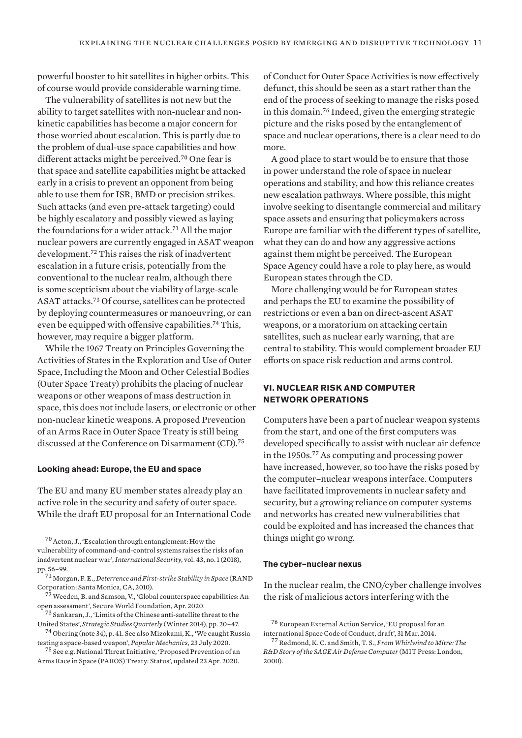powerful booster to hit satellites in higher orbits. This of course would provide considerable warning time.

The vulnerability of satellites is not new but the ability to target satellites with non-nuclear and nonkinetic capabilities has become a major concern for those worried about escalation. This is partly due to the problem of dual-use space capabilities and how different attacks might be perceived.<sup>70</sup> One fear is that space and satellite capabilities might be attacked early in a crisis to prevent an opponent from being able to use them for ISR, BMD or precision strikes. Such attacks (and even pre-attack targeting) could be highly escalatory and possibly viewed as laying the foundations for a wider attack.<sup>71</sup> All the major nuclear powers are currently engaged in ASAT weapon development.<sup>72</sup> This raises the risk of inadvertent escalation in a future crisis, potentially from the conventional to the nuclear realm, although there is some scepticism about the viability of large-scale ASAT attacks.<sup>73</sup> Of course, satellites can be protected by deploying countermeasures or manoeuvring, or can even be equipped with offensive capabilities.<sup>74</sup> This, however, may require a bigger platform.

While the 1967 Treaty on Principles Governing the Activities of States in the Exploration and Use of Outer Space, Including the Moon and Other Celestial Bodies (Outer Space Treaty) prohibits the placing of nuclear weapons or other weapons of mass destruction in space, this does not include lasers, or electronic or other non-nuclear kinetic weapons. A proposed Prevention of an Arms Race in Outer Space Treaty is still being discussed at the Conference on Disarmament (CD).<sup>75</sup>

## **Looking ahead: Europe, the EU and space**

The EU and many EU member states already play an active role in the security and safety of outer space. While the draft EU proposal for an International Code

<sup>70</sup>Acton, J., 'Escalation through entanglement: How the vulnerability of command-and-control systems raises the risks of an inadvertent nuclear war', *International Security*, vol. 43, no. 1 (2018), pp. 56–99.

 $7\overline{2}$  Weeden, B. and Samson, V., 'Global counterspace capabilities: An open assessment', Secure World Foundation, Apr. 2020.

<sup>73</sup> Sankaran, J., 'Limits of the Chinese anti-satellite threat to the United States', *Strategic Studies Quarterly* (Winter 2014), pp. 20–47.

 $^{74}$  Obering (note 34), p. 41. See also Mizokami, K., 'We caught Russia [testing a space-based weapon'](https://www.popularmechanics.com/military/weapons/a33405774/russia-anti-satellite-space-weapon-test-caught/), *Popular Mechanics*, 23 July 2020.

<sup>75</sup> See e.g. National Threat Initiative, ['Proposed Prevention of an](https://www.nti.org/learn/treaties-and-regimes/proposed-prevention-arms-race-space-paros-treaty/)  [Arms Race in Space \(PAROS\) Treaty: Status](https://www.nti.org/learn/treaties-and-regimes/proposed-prevention-arms-race-space-paros-treaty/)', updated 23 Apr. 2020.

of Conduct for Outer Space Activities is now effectively defunct, this should be seen as a start rather than the end of the process of seeking to manage the risks posed in this domain.<sup>76</sup> Indeed, given the emerging strategic picture and the risks posed by the entanglement of space and nuclear operations, there is a clear need to do more.

A good place to start would be to ensure that those in power understand the role of space in nuclear operations and stability, and how this reliance creates new escalation pathways. Where possible, this might involve seeking to disentangle commercial and military space assets and ensuring that policymakers across Europe are familiar with the different types of satellite, what they can do and how any aggressive actions against them might be perceived. The European Space Agency could have a role to play here, as would European states through the CD.

More challenging would be for European states and perhaps the EU to examine the possibility of restrictions or even a ban on direct-ascent ASAT weapons, or a moratorium on attacking certain satellites, such as nuclear early warning, that are central to stability. This would complement broader EU efforts on space risk reduction and arms control.

# **VI. NUCLEAR RISK AND COMPUTER NETWORK OPERATIONS**

Computers have been a part of nuclear weapon systems from the start, and one of the first computers was developed specifically to assist with nuclear air defence in the 1950s.<sup>77</sup> As computing and processing power have increased, however, so too have the risks posed by the computer–nuclear weapons interface. Computers have facilitated improvements in nuclear safety and security, but a growing reliance on computer systems and networks has created new vulnerabilities that could be exploited and has increased the chances that things might go wrong.

## **The cyber–nuclear nexus**

In the nuclear realm, the CNO/cyber challenge involves the risk of malicious actors interfering with the

<sup>71</sup> Morgan, F. E., *[Deterrence and First-strike Stability in Space](https://www.rand.org/content/dam/rand/pubs/monographs/2010/RAND_MG916.pdf)* (RAND Corporation: Santa Monica, CA, 2010[\).](https://www.rand.org/content/dam/rand/pubs/monographs/2010/RAND_MG916.pdf)

<sup>76</sup> European External Action Service, '[EU proposal for an](https://eeas.europa.eu/generic-warning-system-taxonomy/404_en/14715/EU%20proposal%20for%20an%20international%20Space%20Code%20of%20Conduct,%20Draft)  [international Space Code of Conduct, draft'](https://eeas.europa.eu/generic-warning-system-taxonomy/404_en/14715/EU%20proposal%20for%20an%20international%20Space%20Code%20of%20Conduct,%20Draft), 31 Mar. 2014.

<sup>77</sup>Redmond, K. C. and Smith, T. S., *From Whirlwind to Mitre: The R&D Story of the SAGE Air Defense Computer* (MIT Press: London, 2000).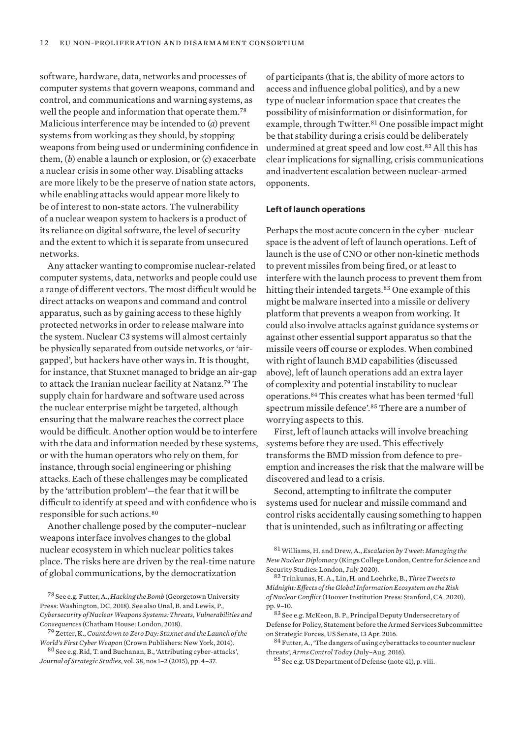software, hardware, data, networks and processes of computer systems that govern weapons, command and control, and communications and warning systems, as well the people and information that operate them.<sup>78</sup> Malicious interference may be intended to (*a*) prevent systems from working as they should, by stopping weapons from being used or undermining confidence in them, (*b*) enable a launch or explosion, or (*c*) exacerbate a nuclear crisis in some other way. Disabling attacks are more likely to be the preserve of nation state actors, while enabling attacks would appear more likely to be of interest to non-state actors. The vulnerability of a nuclear weapon system to hackers is a product of its reliance on digital software, the level of security and the extent to which it is separate from unsecured networks.

Any attacker wanting to compromise nuclear-related computer systems, data, networks and people could use a range of different vectors. The most difficult would be direct attacks on weapons and command and control apparatus, such as by gaining access to these highly protected networks in order to release malware into the system. Nuclear C3 systems will almost certainly be physically separated from outside networks, or 'airgapped', but hackers have other ways in. It is thought, for instance, that Stuxnet managed to bridge an air-gap to attack the Iranian nuclear facility at Natanz.<sup>79</sup> The supply chain for hardware and software used across the nuclear enterprise might be targeted, although ensuring that the malware reaches the correct place would be difficult. Another option would be to interfere with the data and information needed by these systems, or with the human operators who rely on them, for instance, through social engineering or phishing attacks. Each of these challenges may be complicated by the 'attribution problem'—the fear that it will be difficult to identify at speed and with confidence who is responsible for such actions.<sup>80</sup>

Another challenge posed by the computer–nuclear weapons interface involves changes to the global nuclear ecosystem in which nuclear politics takes place. The risks here are driven by the real-time nature of global communications, by the democratization

of participants (that is, the ability of more actors to access and influence global politics), and by a new type of nuclear information space that creates the possibility of misinformation or disinformation, for example, through Twitter.<sup>81</sup> One possible impact might be that stability during a crisis could be deliberately undermined at great speed and low cost.<sup>82</sup> All this has clear implications for signalling, crisis communications and inadvertent escalation between nuclear-armed opponents.

## **Left of launch operations**

Perhaps the most acute concern in the cyber–nuclear space is the advent of left of launch operations. Left of launch is the use of CNO or other non-kinetic methods to prevent missiles from being fired, or at least to interfere with the launch process to prevent them from hitting their intended targets.<sup>83</sup> One example of this might be malware inserted into a missile or delivery platform that prevents a weapon from working. It could also involve attacks against guidance systems or against other essential support apparatus so that the missile veers off course or explodes. When combined with right of launch BMD capabilities (discussed above), left of launch operations add an extra layer of complexity and potential instability to nuclear operations.<sup>84</sup> This creates what has been termed 'full spectrum missile defence'.<sup>85</sup> There are a number of worrying aspects to this.

First, left of launch attacks will involve breaching systems before they are used. This effectively transforms the BMD mission from defence to preemption and increases the risk that the malware will be discovered and lead to a crisis.

Second, attempting to infiltrate the computer systems used for nuclear and missile command and control risks accidentally causing something to happen that is unintended, such as infiltrating or affecting

<sup>78</sup> See e.g. Futter, A., *Hacking the Bomb* (Georgetown University Press: Washington, DC, 2018). See also Unal, B. and Lewis, P., *[Cybersecurity of Nuclear Weapons Systems: Threats, Vulnerabilities and](https://www.chathamhouse.org/2018/01/cybersecurity-nuclear-weapons-systems?)  [Consequences](https://www.chathamhouse.org/2018/01/cybersecurity-nuclear-weapons-systems?)*(Chatham House: London, 2018).

<sup>79</sup> Zetter, K., *Countdown to Zero Day: Stuxnet and the Launch of the World's First Cyber Weapon* (Crown Publishers: New York, 2014).

<sup>80</sup> See e.g. Rid, T. and Buchanan, B., 'Attributing cyber-attacks', *Journal of Strategic Studies*, vol. 38, nos 1–2 (2015), pp. 4–37.

<sup>81</sup>Williams, H. and Drew, A., *Escalation by Tweet: Managing the New Nuclear Diplomacy* (Kings College London, Centre for Science and Security Studies: London, July 2020).

<sup>82</sup>Trinkunas, H. A., Lin, H. and Loehrke, B., *Three Tweets to Midnight: Effects of the Global Information Ecosystem on the Risk of Nuclear Conflict* (Hoover Institution Press: Stanford, CA, 2020), pp. 9–10.

<sup>83</sup> See e.g. McKeon, B. P., Principal Deputy Undersecretary of Defense for Policy, [Statement before the Armed Services Subcommittee](http://www.armed-services.senate.gov/imo/media/doc/McKeon_04-13-16.pdf)  [on Strategic Forces,](http://www.armed-services.senate.gov/imo/media/doc/McKeon_04-13-16.pdf) US Senate, 13 Apr. 2016[.](http://www.armed-services.senate.gov/imo/media/doc/McKeon_04-13-16.pdf)

<sup>84</sup> Futter, A., 'The dangers of using cyberattacks to counter nuclear threats', *Arms Control Today* (July–Aug. 2016).

<sup>85</sup> See e.g. US Department of Defense (note 41), p. viii.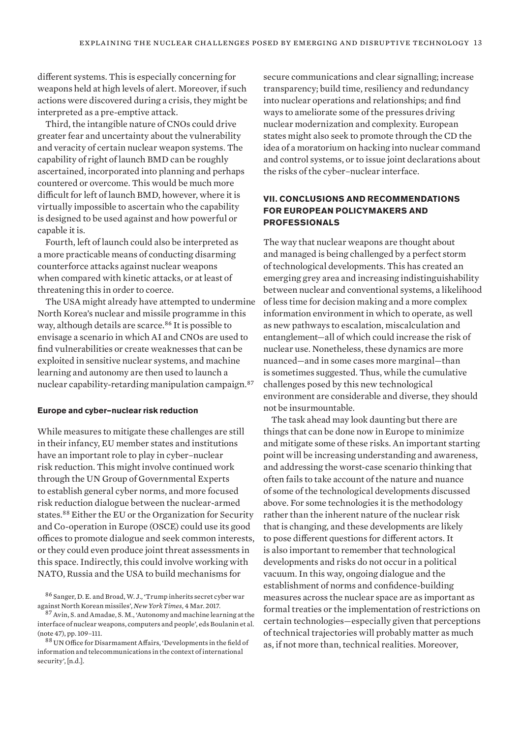different systems. This is especially concerning for weapons held at high levels of alert. Moreover, if such actions were discovered during a crisis, they might be interpreted as a pre-emptive attack.

Third, the intangible nature of CNOs could drive greater fear and uncertainty about the vulnerability and veracity of certain nuclear weapon systems. The capability of right of launch BMD can be roughly ascertained, incorporated into planning and perhaps countered or overcome. This would be much more difficult for left of launch BMD, however, where it is virtually impossible to ascertain who the capability is designed to be used against and how powerful or capable it is.

Fourth, left of launch could also be interpreted as a more practicable means of conducting disarming counterforce attacks against nuclear weapons when compared with kinetic attacks, or at least of threatening this in order to coerce.

The USA might already have attempted to undermine North Korea's nuclear and missile programme in this way, although details are scarce.<sup>86</sup> It is possible to envisage a scenario in which AI and CNOs are used to find vulnerabilities or create weaknesses that can be exploited in sensitive nuclear systems, and machine learning and autonomy are then used to launch a nuclear capability-retarding manipulation campaign.<sup>87</sup>

#### **Europe and cyber–nuclear risk reduction**

While measures to mitigate these challenges are still in their infancy, EU member states and institutions have an important role to play in cyber–nuclear risk reduction. This might involve continued work through the UN Group of Governmental Experts to establish general cyber norms, and more focused risk reduction dialogue between the nuclear-armed states.<sup>88</sup> Either the EU or the Organization for Security and Co-operation in Europe (OSCE) could use its good offices to promote dialogue and seek common interests, or they could even produce joint threat assessments in this space. Indirectly, this could involve working with NATO, Russia and the USA to build mechanisms for

secure communications and clear signalling; increase transparency; build time, resiliency and redundancy into nuclear operations and relationships; and find ways to ameliorate some of the pressures driving nuclear modernization and complexity. European states might also seek to promote through the CD the idea of a moratorium on hacking into nuclear command and control systems, or to issue joint declarations about the risks of the cyber–nuclear interface.

# **VII. CONCLUSIONS AND RECOMMENDATIONS FOR EUROPEAN POLICYMAKERS AND PROFESSIONALS**

The way that nuclear weapons are thought about and managed is being challenged by a perfect storm of technological developments. This has created an emerging grey area and increasing indistinguishability between nuclear and conventional systems, a likelihood of less time for decision making and a more complex information environment in which to operate, as well as new pathways to escalation, miscalculation and entanglement—all of which could increase the risk of nuclear use. Nonetheless, these dynamics are more nuanced—and in some cases more marginal—than is sometimes suggested. Thus, while the cumulative challenges posed by this new technological environment are considerable and diverse, they should not be insurmountable.

The task ahead may look daunting but there are things that can be done now in Europe to minimize and mitigate some of these risks. An important starting point will be increasing understanding and awareness, and addressing the worst-case scenario thinking that often fails to take account of the nature and nuance of some of the technological developments discussed above. For some technologies it is the methodology rather than the inherent nature of the nuclear risk that is changing, and these developments are likely to pose different questions for different actors. It is also important to remember that technological developments and risks do not occur in a political vacuum. In this way, ongoing dialogue and the establishment of norms and confidence-building measures across the nuclear space are as important as formal treaties or the implementation of restrictions on certain technologies—especially given that perceptions of technical trajectories will probably matter as much as, if not more than, technical realities. Moreover,

<sup>86</sup> Sanger, D. E. and Broad, W. J., ['Trump inherits secret cyber war](https://www.nytimes.com/2017/03/04/world/asia/north-korea-missile-program-sabotage.html)  [against North Korean missiles'](https://www.nytimes.com/2017/03/04/world/asia/north-korea-missile-program-sabotage.html), *New York Times*, 4 Mar. 2017.

<sup>&</sup>lt;sup>87</sup> Avin, S. and Amadae, S. M., 'Autonomy and machine learning at the interface of nuclear weapons, computers and people', eds Boulanin et al. (note 47), pp. 109–111.

<sup>88</sup> UN Office for Disarmament Affairs, '[Developments in the field of](https://www.un.org/disarmament/ict-security/)  [information and telecommunications in the context of international](https://www.un.org/disarmament/ict-security/)  [security'](https://www.un.org/disarmament/ict-security/), [n.d.].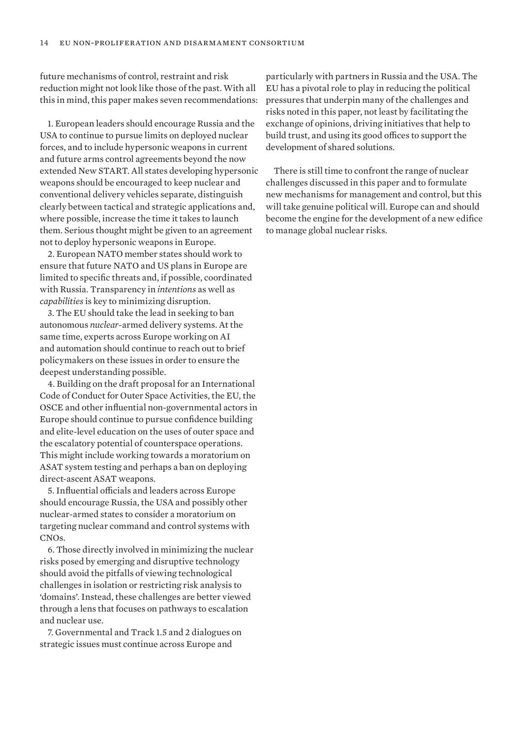future mechanisms of control, restraint and risk reduction might not look like those of the past. With all this in mind, this paper makes seven recommendations:

1. European leaders should encourage Russia and the USA to continue to pursue limits on deployed nuclear forces, and to include hypersonic weapons in current and future arms control agreements beyond the now extended New START. All states developing hypersonic weapons should be encouraged to keep nuclear and conventional delivery vehicles separate, distinguish clearly between tactical and strategic applications and, where possible, increase the time it takes to launch them. Serious thought might be given to an agreement not to deploy hypersonic weapons in Europe.

2. European NATO member states should work to ensure that future NATO and US plans in Europe are limited to specific threats and, if possible, coordinated with Russia. Transparency in *intentions* as well as *capabilities* is key to minimizing disruption.

3. The EU should take the lead in seeking to ban autonomous *nuclear-*armed delivery systems. At the same time, experts across Europe working on AI and automation should continue to reach out to brief policymakers on these issues in order to ensure the deepest understanding possible.

4. Building on the draft proposal for an International Code of Conduct for Outer Space Activities, the EU, the OSCE and other influential non-governmental actors in Europe should continue to pursue confidence building and elite-level education on the uses of outer space and the escalatory potential of counterspace operations. This might include working towards a moratorium on ASAT system testing and perhaps a ban on deploying direct-ascent ASAT weapons.

5. Influential officials and leaders across Europe should encourage Russia, the USA and possibly other nuclear-armed states to consider a moratorium on targeting nuclear command and control systems with CNOs.

6. Those directly involved in minimizing the nuclear risks posed by emerging and disruptive technology should avoid the pitfalls of viewing technological challenges in isolation or restricting risk analysis to 'domains'. Instead, these challenges are better viewed through a lens that focuses on pathways to escalation and nuclear use.

7. Governmental and Track 1.5 and 2 dialogues on strategic issues must continue across Europe and

particularly with partners in Russia and the USA. The EU has a pivotal role to play in reducing the political pressures that underpin many of the challenges and risks noted in this paper, not least by facilitating the exchange of opinions, driving initiatives that help to build trust, and using its good offices to support the development of shared solutions.

There is still time to confront the range of nuclear challenges discussed in this paper and to formulate new mechanisms for management and control, but this will take genuine political will. Europe can and should become the engine for the development of a new edifice to manage global nuclear risks.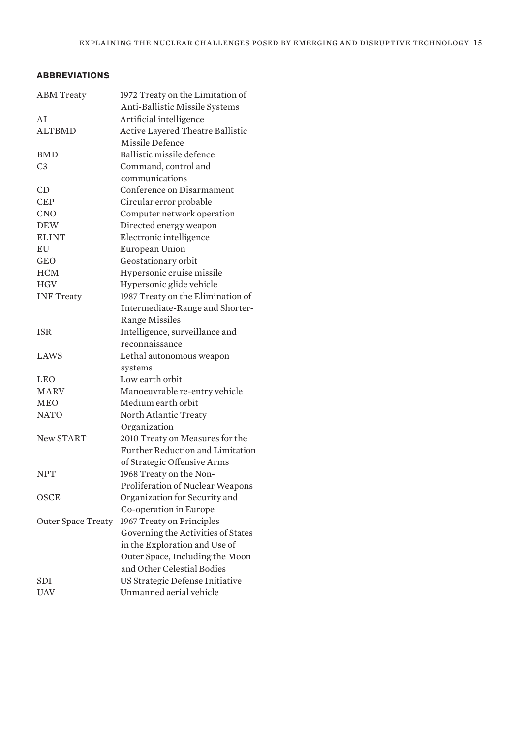# **ABBREVIATIONS**

| <b>ABM</b> Treaty         | 1972 Treaty on the Limitation of   |
|---------------------------|------------------------------------|
|                           | Anti-Ballistic Missile Systems     |
| AI                        | Artificial intelligence            |
| <b>ALTBMD</b>             | Active Layered Theatre Ballistic   |
|                           | Missile Defence                    |
| <b>BMD</b>                | Ballistic missile defence          |
| C <sub>3</sub>            | Command, control and               |
|                           | communications                     |
| CD                        | Conference on Disarmament          |
| <b>CEP</b>                | Circular error probable            |
| <b>CNO</b>                | Computer network operation         |
| <b>DEW</b>                | Directed energy weapon             |
| <b>ELINT</b>              | Electronic intelligence            |
| EU                        | European Union                     |
| GEO                       | Geostationary orbit                |
| <b>HCM</b>                | Hypersonic cruise missile          |
| <b>HGV</b>                | Hypersonic glide vehicle           |
| <b>INF Treaty</b>         | 1987 Treaty on the Elimination of  |
|                           | Intermediate-Range and Shorter-    |
|                           | <b>Range Missiles</b>              |
| <b>ISR</b>                | Intelligence, surveillance and     |
|                           | reconnaissance                     |
| LAWS                      | Lethal autonomous weapon           |
|                           | systems                            |
| <b>LEO</b>                | Low earth orbit                    |
| <b>MARV</b>               | Manoeuvrable re-entry vehicle      |
| <b>MEO</b>                | Medium earth orbit                 |
| <b>NATO</b>               | North Atlantic Treaty              |
|                           | Organization                       |
| <b>New START</b>          | 2010 Treaty on Measures for the    |
|                           | Further Reduction and Limitation   |
|                           | of Strategic Offensive Arms        |
| <b>NPT</b>                | 1968 Treaty on the Non-            |
|                           | Proliferation of Nuclear Weapons   |
| OSCE                      | Organization for Security and      |
|                           | Co-operation in Europe             |
| <b>Outer Space Treaty</b> | 1967 Treaty on Principles          |
|                           | Governing the Activities of States |
|                           | in the Exploration and Use of      |
|                           | Outer Space, Including the Moon    |
|                           | and Other Celestial Bodies         |
| SDI                       | US Strategic Defense Initiative    |
| UAV                       | Unmanned aerial vehicle            |